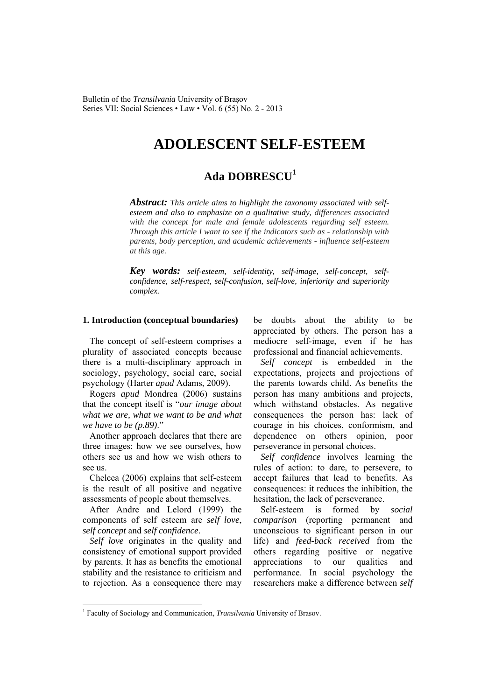Bulletin of the *Transilvania* University of Braşov Series VII: Social Sciences • Law • Vol. 6 (55) No. 2 - 2013

# **ADOLESCENT SELF-ESTEEM**

## **Ada DOBRESCU<sup>1</sup>**

*Abstract: This article aims to highlight the taxonomy associated with selfesteem and also to emphasize on a qualitative study, differences associated with the concept for male and female adolescents regarding self esteem. Through this article I want to see if the indicators such as - relationship with parents, body perception, and academic achievements - influence self-esteem at this age.*

*Key words: self-esteem, self-identity, self-image, self-concept, selfconfidence, self-respect, self-confusion, self-love, inferiority and superiority complex.*

#### **1. Introduction (conceptual boundaries)**

The concept of self-esteem comprises a plurality of associated concepts because there is a multi-disciplinary approach in sociology, psychology, social care, social psychology (Harter *apud* Adams, 2009).

Rogers *apud* Mondrea (2006) sustains that the concept itself is "*our image about what we are, what we want to be and what we have to be (p.89)*."

Another approach declares that there are three images: how we see ourselves, how others see us and how we wish others to see us.

Chelcea (2006) explains that self-esteem is the result of all positive and negative assessments of people about themselves.

After Andre and Lelord (1999) the components of self esteem are *self love*, *self concept* and *self confidence*.

*Self love* originates in the quality and consistency of emotional support provided by parents. It has as benefits the emotional stability and the resistance to criticism and to rejection. As a consequence there may

 $\overline{a}$ 

be doubts about the ability to be appreciated by others. The person has a mediocre self-image, even if he has professional and financial achievements.

*Self concept* is embedded in the expectations, projects and projections of the parents towards child. As benefits the person has many ambitions and projects, which withstand obstacles. As negative consequences the person has: lack of courage in his choices, conformism, and dependence on others opinion, poor perseverance in personal choices.

*Self confidence* involves learning the rules of action: to dare, to persevere, to accept failures that lead to benefits. As consequences: it reduces the inhibition, the hesitation, the lack of perseverance.

Self-esteem is formed by *social comparison* (reporting permanent and unconscious to significant person in our life) and *feed-back received* from the others regarding positive or negative appreciations to our qualities and performance. In social psychology the researchers make a difference between *self* 

<sup>&</sup>lt;sup>1</sup> Faculty of Sociology and Communication, *Transilvania* University of Brasov.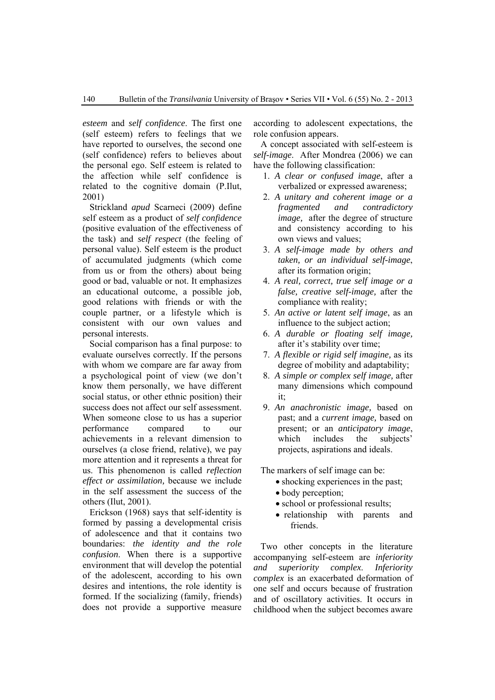*esteem* and *self confidence*. The first one (self esteem) refers to feelings that we have reported to ourselves, the second one (self confidence) refers to believes about the personal ego. Self esteem is related to the affection while self confidence is related to the cognitive domain (P.Ilut, 2001)

Strickland *apud* Scarneci (2009) define self esteem as a product of *self confidence* (positive evaluation of the effectiveness of the task) and *self respect* (the feeling of personal value). Self esteem is the product of accumulated judgments (which come from us or from the others) about being good or bad, valuable or not. It emphasizes an educational outcome, a possible job, good relations with friends or with the couple partner, or a lifestyle which is consistent with our own values and personal interests.

Social comparison has a final purpose: to evaluate ourselves correctly. If the persons with whom we compare are far away from a psychological point of view (we don't know them personally, we have different social status, or other ethnic position) their success does not affect our self assessment. When someone close to us has a superior performance compared to our achievements in a relevant dimension to ourselves (a close friend, relative), we pay more attention and it represents a threat for us. This phenomenon is called *reflection effect or assimilation,* because we include in the self assessment the success of the others (Ilut, 2001).

Erickson (1968) says that self-identity is formed by passing a developmental crisis of adolescence and that it contains two boundaries: *the identity and the role confusion*. When there is a supportive environment that will develop the potential of the adolescent, according to his own desires and intentions, the role identity is formed. If the socializing (family, friends) does not provide a supportive measure

according to adolescent expectations, the role confusion appears.

A concept associated with self-esteem is *self-image*. After Mondrea (2006) we can have the following classification:

- 1. *A clear or confused image*, after a verbalized or expressed awareness;
- 2. *A unitary and coherent image or a fragmented and contradictory image*, after the degree of structure and consistency according to his own views and values;
- 3. *A self-image made by others and taken, or an individual self-image*, after its formation origin;
- 4. *A real, correct, true self image or a false, creative self-image,* after the compliance with reality;
- 5. *An active or latent self image*, as an influence to the subject action;
- 6. *A durable or floating self image,*  after it's stability over time;
- 7. *A flexible or rigid self imagine,* as its degree of mobility and adaptability;
- 8. *A simple or complex self image,* after many dimensions which compound it;
- 9. *An anachronistic image,* based on past; and a *current image,* based on present; or an *anticipatory image*, which includes the subjects' projects, aspirations and ideals.

The markers of self image can be:

- shocking experiences in the past;
- body perception;
- school or professional results;
- relationship with parents and friends.

Two other concepts in the literature accompanying self-esteem are *inferiority and superiority complex*. *Inferiority complex* is an exacerbated deformation of one self and occurs because of frustration and of oscillatory activities. It occurs in childhood when the subject becomes aware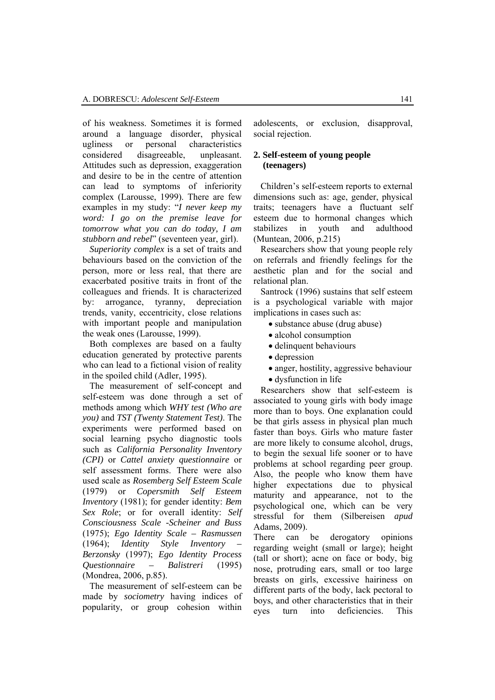of his weakness. Sometimes it is formed around a language disorder, physical ugliness or personal characteristics considered disagreeable, unpleasant. Attitudes such as depression, exaggeration and desire to be in the centre of attention can lead to symptoms of inferiority complex (Larousse, 1999). There are few examples in my study: "*I never keep my word: I go on the premise leave for tomorrow what you can do today, I am stubborn and rebel*" (seventeen year, girl).

*Superiority complex* is a set of traits and behaviours based on the conviction of the person, more or less real, that there are exacerbated positive traits in front of the colleagues and friends. It is characterized by: arrogance, tyranny, depreciation trends, vanity, eccentricity, close relations with important people and manipulation the weak ones (Larousse, 1999).

Both complexes are based on a faulty education generated by protective parents who can lead to a fictional vision of reality in the spoiled child (Adler, 1995).

The measurement of self-concept and self-esteem was done through a set of methods among which *WHY test (Who are you)* and *TST (Twenty Statement Test)*. The experiments were performed based on social learning psycho diagnostic tools such as *California Personality Inventory (CPI)* or *Cattel anxiety questionnaire* or self assessment forms. There were also used scale as *Rosemberg Self Esteem Scale* (1979) or *Copersmith Self Esteem Inventory* (1981); for gender identity: *Bem Sex Role*; or for overall identity: *Self Consciousness Scale -Scheiner and Buss* (1975); *Ego Identity Scale – Rasmussen* (1964); *Identity Style Inventory – Berzonsky* (1997); *Ego Identity Process Questionnaire – Balistreri* (1995) (Mondrea, 2006, p.85).

The measurement of self-esteem can be made by *sociometry* having indices of popularity, or group cohesion within

adolescents, or exclusion, disapproval, social rejection.

## **2. Self-esteem of young people (teenagers)**

Children's self-esteem reports to external dimensions such as: age, gender, physical traits; teenagers have a fluctuant self esteem due to hormonal changes which stabilizes in youth and adulthood (Muntean, 2006, p.215)

Researchers show that young people rely on referrals and friendly feelings for the aesthetic plan and for the social and relational plan.

 Santrock (1996) sustains that self esteem is a psychological variable with major implications in cases such as:

• substance abuse (drug abuse)

- alcohol consumption
- delinquent behaviours
- depression
- anger, hostility, aggressive behaviour
- dysfunction in life

Researchers show that self-esteem is associated to young girls with body image more than to boys. One explanation could be that girls assess in physical plan much faster than boys. Girls who mature faster are more likely to consume alcohol, drugs, to begin the sexual life sooner or to have problems at school regarding peer group. Also, the people who know them have higher expectations due to physical maturity and appearance, not to the psychological one, which can be very stressful for them (Silbereisen *apud*  Adams, 2009).

There can be derogatory opinions regarding weight (small or large); height (tall or short); acne on face or body, big nose, protruding ears, small or too large breasts on girls, excessive hairiness on different parts of the body, lack pectoral to boys, and other characteristics that in their eyes turn into deficiencies. This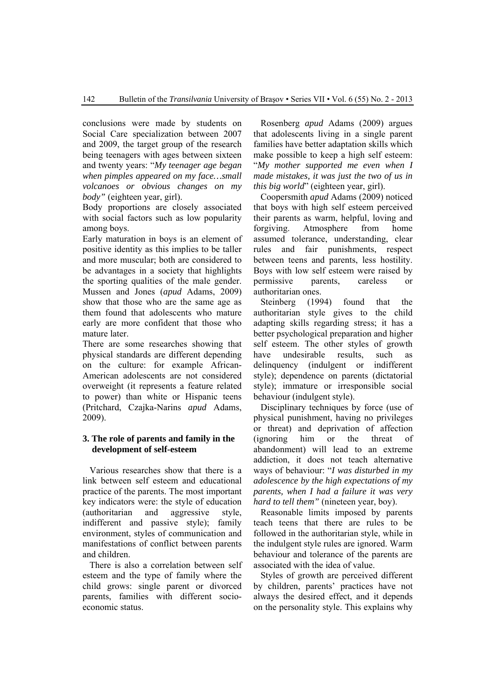conclusions were made by students on Social Care specialization between 2007 and 2009, the target group of the research being teenagers with ages between sixteen and twenty years: "*My teenager age began when pimples appeared on my face…small volcanoes or obvious changes on my body"* (eighteen year, girl).

Body proportions are closely associated with social factors such as low popularity among boys.

Early maturation in boys is an element of positive identity as this implies to be taller and more muscular; both are considered to be advantages in a society that highlights the sporting qualities of the male gender. Mussen and Jones (*apud* Adams, 2009) show that those who are the same age as them found that adolescents who mature early are more confident that those who mature later.

There are some researches showing that physical standards are different depending on the culture: for example African-American adolescents are not considered overweight (it represents a feature related to power) than white or Hispanic teens (Pritchard, Czajka-Narins *apud* Adams, 2009).

## **3. The role of parents and family in the development of self-esteem**

Various researches show that there is a link between self esteem and educational practice of the parents. The most important key indicators were: the style of education (authoritarian and aggressive style, indifferent and passive style); family environment, styles of communication and manifestations of conflict between parents and children.

There is also a correlation between self esteem and the type of family where the child grows: single parent or divorced parents, families with different socioeconomic status.

Rosenberg *apud* Adams (2009) argues that adolescents living in a single parent families have better adaptation skills which make possible to keep a high self esteem: "*My mother supported me even when I made mistakes, it was just the two of us in this big world*" (eighteen year, girl).

Coopersmith *apud* Adams (2009) noticed that boys with high self esteem perceived their parents as warm, helpful, loving and forgiving. Atmosphere from home assumed tolerance, understanding, clear rules and fair punishments, respect between teens and parents, less hostility. Boys with low self esteem were raised by permissive parents, careless or authoritarian ones.

Steinberg (1994) found that the authoritarian style gives to the child adapting skills regarding stress; it has a better psychological preparation and higher self esteem. The other styles of growth have undesirable results, such as delinquency (indulgent or indifferent style); dependence on parents (dictatorial style); immature or irresponsible social behaviour (indulgent style).

Disciplinary techniques by force (use of physical punishment, having no privileges or threat) and deprivation of affection (ignoring him or the threat of abandonment) will lead to an extreme addiction, it does not teach alternative ways of behaviour: "*I was disturbed in my adolescence by the high expectations of my parents, when I had a failure it was very hard to tell them"* (nineteen year, boy).

Reasonable limits imposed by parents teach teens that there are rules to be followed in the authoritarian style, while in the indulgent style rules are ignored. Warm behaviour and tolerance of the parents are associated with the idea of value.

Styles of growth are perceived different by children, parents' practices have not always the desired effect, and it depends on the personality style. This explains why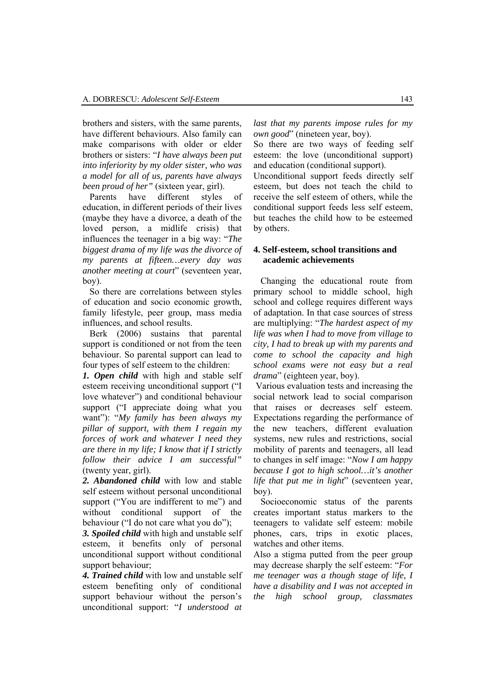brothers and sisters, with the same parents, have different behaviours. Also family can make comparisons with older or elder brothers or sisters: "*I have always been put into inferiority by my older sister, who was a model for all of us, parents have always been proud of her"* (sixteen year, girl).

Parents have different styles of education, in different periods of their lives (maybe they have a divorce, a death of the loved person, a midlife crisis) that influences the teenager in a big way: "*The biggest drama of my life was the divorce of my parents at fifteen…every day was another meeting at court*" (seventeen year, boy).

So there are correlations between styles of education and socio economic growth, family lifestyle, peer group, mass media influences, and school results.

Berk (2006) sustains that parental support is conditioned or not from the teen behaviour. So parental support can lead to four types of self esteem to the children:

*1. Open child* with high and stable self esteem receiving unconditional support ("I love whatever") and conditional behaviour support ("I appreciate doing what you want"): "*My family has been always my pillar of support, with them I regain my forces of work and whatever I need they are there in my life; I know that if I strictly follow their advice I am successful"*  (twenty year, girl).

*2. Abandoned child* with low and stable self esteem without personal unconditional support ("You are indifferent to me") and without conditional support of the behaviour ("I do not care what you do");

*3. Spoiled child* with high and unstable self esteem, it benefits only of personal unconditional support without conditional support behaviour;

*4. Trained child* with low and unstable self esteem benefiting only of conditional support behaviour without the person's unconditional support: "*I understood at* 

*last that my parents impose rules for my own good*" (nineteen year, boy).

So there are two ways of feeding self esteem: the love (unconditional support) and education (conditional support).

Unconditional support feeds directly self esteem, but does not teach the child to receive the self esteem of others, while the conditional support feeds less self esteem, but teaches the child how to be esteemed by others.

### **4. Self-esteem, school transitions and academic achievements**

Changing the educational route from primary school to middle school, high school and college requires different ways of adaptation. In that case sources of stress are multiplying: "*The hardest aspect of my life was when I had to move from village to city, I had to break up with my parents and come to school the capacity and high school exams were not easy but a real drama*" (eighteen year, boy).

 Various evaluation tests and increasing the social network lead to social comparison that raises or decreases self esteem. Expectations regarding the performance of the new teachers, different evaluation systems, new rules and restrictions, social mobility of parents and teenagers, all lead to changes in self image: "*Now I am happy because I got to high school…it's another life that put me in light*" (seventeen year, boy).

 Socioeconomic status of the parents creates important status markers to the teenagers to validate self esteem: mobile phones, cars, trips in exotic places, watches and other items.

Also a stigma putted from the peer group may decrease sharply the self esteem: "*For me teenager was a though stage of life, I have a disability and I was not accepted in the high school group, classmates*